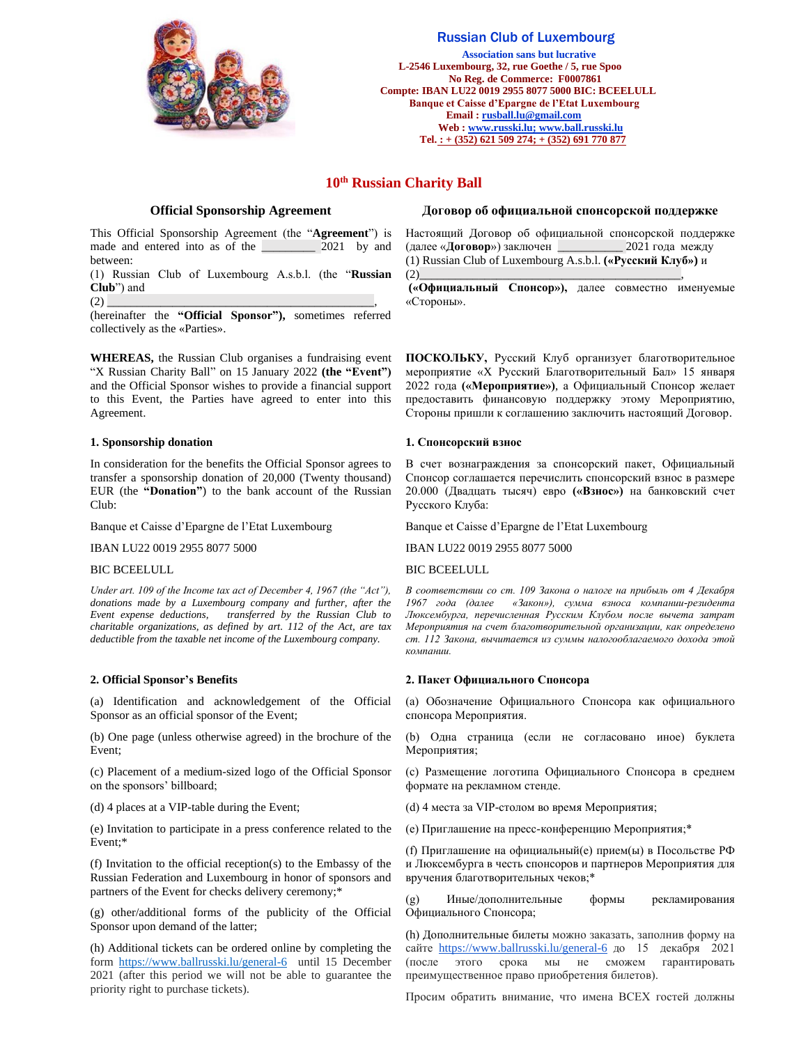

# Russian Club of Luxembourg

 **Association sans but lucrative L-2546 Luxembourg, 32, rue Goethe / 5, rue Spoo No Reg. de Commerce: F0007861 Compte: IBAN LU22 0019 2955 8077 5000 BIC: BCEELULL Banque et Caisse d'Epargne de l'Etat Luxembourg Email [: rusball.lu@gmail.com](mailto:russball.lu@gmail.com) Web [: www.russki.lu;](http://www.russki.lu/) www.ball.russki.lu Tel. : + (352) 621 509 274; + (352) 691 770 877**

# **10th Russian Charity Ball**

This Official Sponsorship Agreement (the "**Agreement**") is made and entered into as of the \_\_\_\_\_\_\_\_\_ 2021 by and between:

(1) Russian Club of Luxembourg A.s.b.l. (the "**Russian Club**") and

(2) \_\_\_\_\_\_\_\_\_\_\_\_\_\_\_\_\_\_\_\_\_\_\_\_\_\_\_\_\_\_\_\_\_\_\_\_\_\_\_\_\_\_\_\_\_,

(hereinafter the **"Official Sponsor"),** sometimes referred collectively as the «Parties».

**WHEREAS,** the Russian Club organises a fundraising event "X Russian Charity Ball" on 15 January 2022 **(the "Event")** and the Official Sponsor wishes to provide a financial support to this Event, the Parties have agreed to enter into this Agreement.

### **1. Sponsorship donation**

In consideration for the benefits the Official Sponsor agrees to transfer a sponsorship donation of 20,000 (Twenty thousand) EUR (the **"Donation"**) to the bank account of the Russian Club:

Banque et Caisse d'Epargne de l'Etat Luxembourg

IBAN LU22 0019 2955 8077 5000

#### BIC BCEELULL

*Under art. 109 of the Income tax act of December 4, 1967 (the "Act"), donations made by a Luxembourg company and further, after the Event expense deductions, transferred by the Russian Club to charitable organizations, as defined by art. 112 of the Act, are tax deductible from the taxable net income of the Luxembourg company.*

#### **2. Official Sponsor's Benefits**

(a) Identification and acknowledgement of the Official Sponsor as an official sponsor of the Event;

(b) One page (unless otherwise agreed) in the brochure of the Event;

(c) Placement of a medium-sized logo of the Official Sponsor on the sponsors' billboard;

(d) 4 places at a VIP-table during the Event;

(e) Invitation to participate in a press conference related to the Event;\*

(f) Invitation to the official reception(s) to the Embassy of the Russian Federation and Luxembourg in honor of sponsors and partners of the Event for checks delivery ceremony;\*

(g) other/additional forms of the publicity of the Official Sponsor upon demand of the latter;

(h) Additional tickets can be ordered online by completing the form <https://www.ballrusski.lu/general-6>until 15 December 2021 (after this period we will not be able to guarantee the priority right to purchase tickets).

#### **Official Sponsorship Agreement Договор об официальной спонсорской поддержке**

Настоящий Договор об официальной спонсорской поддержке (далее «**Договор**») заключен \_\_\_\_\_\_\_\_\_\_\_ 2021 года между (1) Russian Club of Luxembourg A.s.b.l. **(«Русский Клуб»)** и  $(2)$  , and the set of the set of the set of the set of the set of the set of the set of the set of the set of the set of the set of the set of the set of the set of the set of the set of the set of the set of the set of

**(«Официальный Спонсор»),** далее совместно именуемые «Стороны».

**ПОСКОЛЬКУ,** Русский Клуб организует благотворительное мероприятие «X Русский Благотворительный Бал» 15 января 2022 года **(«Мероприятие»)**, а Официальный Спонсор желает предоставить финансовую поддержку этому Мероприятию, Стороны пришли к соглашению заключить настоящий Договор.

#### **1. Спонсорский взнос**

В счет вознаграждения за спонсорский пакет, Официальный Спонсор соглашается перечислить спонсорский взнос в размере 20.000 (Двадцать тысяч) евро **(«Взнос»)** на банковский счет Русского Клуба:

Banque et Caisse d'Epargne de l'Etat Luxembourg

IBAN LU22 0019 2955 8077 5000

BIC BCEELULL

*В соответствии со ст. 109 Закона о налоге на прибыль от 4 Декабря 1967 года (далее «Закон»), сумма взноса компании-резидента Люксембурга, перечисленная Русским Клубом после вычета затрат Мероприятия на счет благотворительной организации, как определено ст. 112 Закона, вычитается из суммы налогооблагаемого дохода этой компании.*

#### **2. Пакет Официального Спонсора**

(a) Обозначение Официального Спонсора как официального спонсора Мероприятия.

(b) Одна страница (если не согласовано иное) буклета Мероприятия;

(с) Размещение логотипа Официального Спонсора в среднем формате на рекламном стенде.

(d) 4 места за VIP-столом во время Мероприятия;

(e) Приглашение на пресс-конференцию Мероприятия;\*

(f) Приглашение на официальный(е) прием(ы) в Посольстве РФ и Люксембурга в честь спонсоров и партнеров Мероприятия для вручения благотворительных чеков;\*

(g) Иные/дополнительные формы рекламирования Официального Спонсора;

(h) Дополнительные билеты можно заказать, заполнив форму на сайте <https://www.ballrusski.lu/general-6>до 15 декабря 2021 (после этого срока мы не сможем гарантировать преимущественное право приобретения билетов).

Просим обратить внимание, что имена ВСЕХ гостей должны